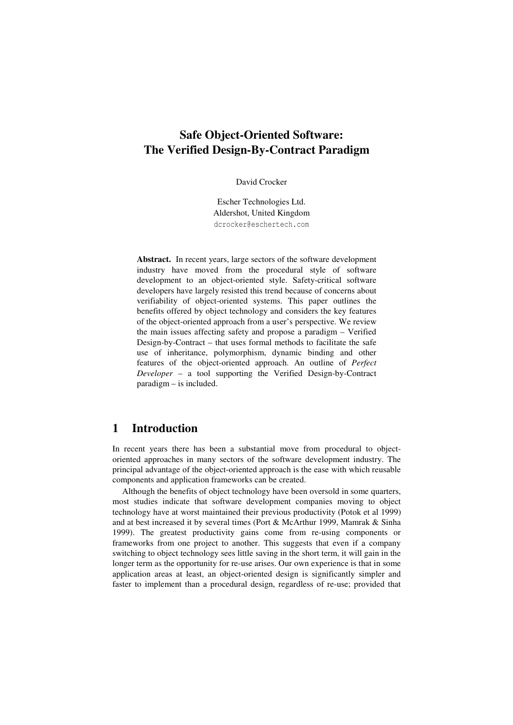# **Safe Object-Oriented Software: The Verified Design-By-Contract Paradigm**

David Crocker

Escher Technologies Ltd. Aldershot, United Kingdom dcrocker@eschertech.com

**Abstract.** In recent years, large sectors of the software development industry have moved from the procedural style of software development to an object-oriented style. Safety-critical software developers have largely resisted this trend because of concerns about verifiability of object-oriented systems. This paper outlines the benefits offered by object technology and considers the key features of the object-oriented approach from a user's perspective. We review the main issues affecting safety and propose a paradigm – Verified Design-by-Contract – that uses formal methods to facilitate the safe use of inheritance, polymorphism, dynamic binding and other features of the object-oriented approach. An outline of *Perfect Developer* – a tool supporting the Verified Design-by-Contract paradigm – is included.

## **1 Introduction**

In recent years there has been a substantial move from procedural to objectoriented approaches in many sectors of the software development industry. The principal advantage of the object-oriented approach is the ease with which reusable components and application frameworks can be created.

Although the benefits of object technology have been oversold in some quarters, most studies indicate that software development companies moving to object technology have at worst maintained their previous productivity (Potok et al 1999) and at best increased it by several times (Port & McArthur 1999, Mamrak & Sinha 1999). The greatest productivity gains come from re-using components or frameworks from one project to another. This suggests that even if a company switching to object technology sees little saving in the short term, it will gain in the longer term as the opportunity for re-use arises. Our own experience is that in some application areas at least, an object-oriented design is significantly simpler and faster to implement than a procedural design, regardless of re-use; provided that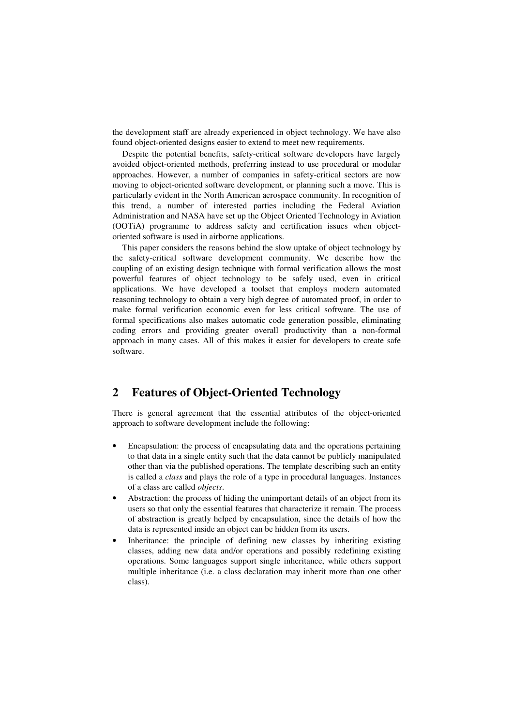the development staff are already experienced in object technology. We have also found object-oriented designs easier to extend to meet new requirements.

Despite the potential benefits, safety-critical software developers have largely avoided object-oriented methods, preferring instead to use procedural or modular approaches. However, a number of companies in safety-critical sectors are now moving to object-oriented software development, or planning such a move. This is particularly evident in the North American aerospace community. In recognition of this trend, a number of interested parties including the Federal Aviation Administration and NASA have set up the Object Oriented Technology in Aviation (OOTiA) programme to address safety and certification issues when objectoriented software is used in airborne applications.

This paper considers the reasons behind the slow uptake of object technology by the safety-critical software development community. We describe how the coupling of an existing design technique with formal verification allows the most powerful features of object technology to be safely used, even in critical applications. We have developed a toolset that employs modern automated reasoning technology to obtain a very high degree of automated proof, in order to make formal verification economic even for less critical software. The use of formal specifications also makes automatic code generation possible, eliminating coding errors and providing greater overall productivity than a non-formal approach in many cases. All of this makes it easier for developers to create safe software.

## **2 Features of Object-Oriented Technology**

There is general agreement that the essential attributes of the object-oriented approach to software development include the following:

- Encapsulation: the process of encapsulating data and the operations pertaining to that data in a single entity such that the data cannot be publicly manipulated other than via the published operations. The template describing such an entity is called a *class* and plays the role of a type in procedural languages. Instances of a class are called *objects*.
- Abstraction: the process of hiding the unimportant details of an object from its users so that only the essential features that characterize it remain. The process of abstraction is greatly helped by encapsulation, since the details of how the data is represented inside an object can be hidden from its users.
- Inheritance: the principle of defining new classes by inheriting existing classes, adding new data and/or operations and possibly redefining existing operations. Some languages support single inheritance, while others support multiple inheritance (i.e. a class declaration may inherit more than one other class).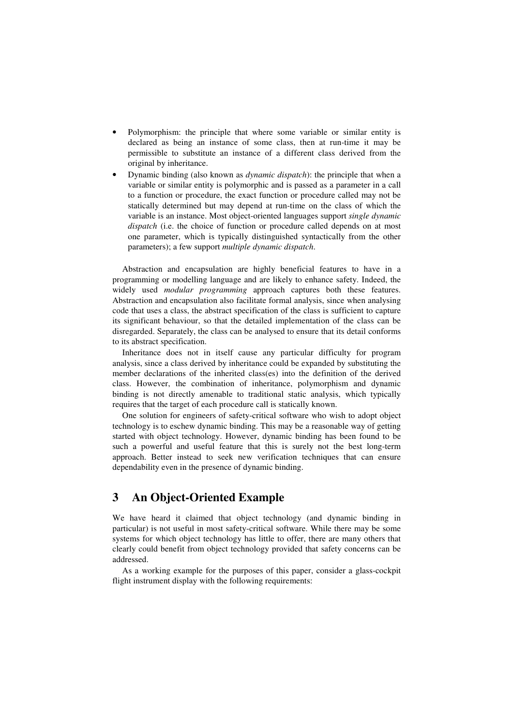- Polymorphism: the principle that where some variable or similar entity is declared as being an instance of some class, then at run-time it may be permissible to substitute an instance of a different class derived from the original by inheritance.
- Dynamic binding (also known as *dynamic dispatch*): the principle that when a variable or similar entity is polymorphic and is passed as a parameter in a call to a function or procedure, the exact function or procedure called may not be statically determined but may depend at run-time on the class of which the variable is an instance. Most object-oriented languages support *single dynamic dispatch* (i.e. the choice of function or procedure called depends on at most one parameter, which is typically distinguished syntactically from the other parameters); a few support *multiple dynamic dispatch*.

Abstraction and encapsulation are highly beneficial features to have in a programming or modelling language and are likely to enhance safety. Indeed, the widely used *modular programming* approach captures both these features. Abstraction and encapsulation also facilitate formal analysis, since when analysing code that uses a class, the abstract specification of the class is sufficient to capture its significant behaviour, so that the detailed implementation of the class can be disregarded. Separately, the class can be analysed to ensure that its detail conforms to its abstract specification.

Inheritance does not in itself cause any particular difficulty for program analysis, since a class derived by inheritance could be expanded by substituting the member declarations of the inherited class(es) into the definition of the derived class. However, the combination of inheritance, polymorphism and dynamic binding is not directly amenable to traditional static analysis, which typically requires that the target of each procedure call is statically known.

One solution for engineers of safety-critical software who wish to adopt object technology is to eschew dynamic binding. This may be a reasonable way of getting started with object technology. However, dynamic binding has been found to be such a powerful and useful feature that this is surely not the best long-term approach. Better instead to seek new verification techniques that can ensure dependability even in the presence of dynamic binding.

## **3 An Object-Oriented Example**

We have heard it claimed that object technology (and dynamic binding in particular) is not useful in most safety-critical software. While there may be some systems for which object technology has little to offer, there are many others that clearly could benefit from object technology provided that safety concerns can be addressed.

As a working example for the purposes of this paper, consider a glass-cockpit flight instrument display with the following requirements: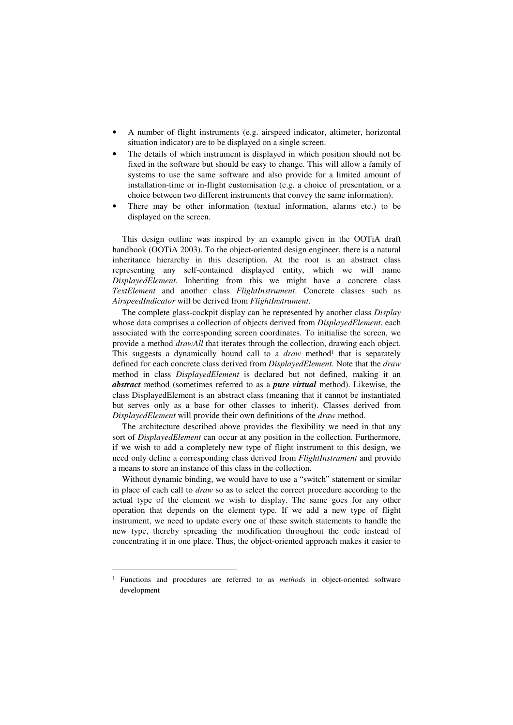- A number of flight instruments (e.g. airspeed indicator, altimeter, horizontal situation indicator) are to be displayed on a single screen.
- The details of which instrument is displayed in which position should not be fixed in the software but should be easy to change. This will allow a family of systems to use the same software and also provide for a limited amount of installation-time or in-flight customisation (e.g. a choice of presentation, or a choice between two different instruments that convey the same information).
- There may be other information (textual information, alarms etc.) to be displayed on the screen.

This design outline was inspired by an example given in the OOTiA draft handbook (OOTiA 2003). To the object-oriented design engineer, there is a natural inheritance hierarchy in this description. At the root is an abstract class representing any self-contained displayed entity, which we will name *DisplayedElement*. Inheriting from this we might have a concrete class *TextElement* and another class *FlightInstrument*. Concrete classes such as *AirspeedIndicator* will be derived from *FlightInstrument*.

The complete glass-cockpit display can be represented by another class *Display* whose data comprises a collection of objects derived from *DisplayedElement*, each associated with the corresponding screen coordinates. To initialise the screen, we provide a method *drawAll* that iterates through the collection, drawing each object. This suggests a dynamically bound call to a *draw* method<sup>1</sup> that is separately defined for each concrete class derived from *DisplayedElement*. Note that the *draw* method in class *DisplayedElement* is declared but not defined, making it an *abstract* method (sometimes referred to as a *pure virtual* method). Likewise, the class DisplayedElement is an abstract class (meaning that it cannot be instantiated but serves only as a base for other classes to inherit). Classes derived from *DisplayedElement* will provide their own definitions of the *draw* method.

The architecture described above provides the flexibility we need in that any sort of *DisplayedElement* can occur at any position in the collection. Furthermore, if we wish to add a completely new type of flight instrument to this design, we need only define a corresponding class derived from *FlightInstrument* and provide a means to store an instance of this class in the collection.

Without dynamic binding, we would have to use a "switch" statement or similar in place of each call to *draw* so as to select the correct procedure according to the actual type of the element we wish to display. The same goes for any other operation that depends on the element type. If we add a new type of flight instrument, we need to update every one of these switch statements to handle the new type, thereby spreading the modification throughout the code instead of concentrating it in one place. Thus, the object-oriented approach makes it easier to

<sup>1</sup> Functions and procedures are referred to as *methods* in object-oriented software development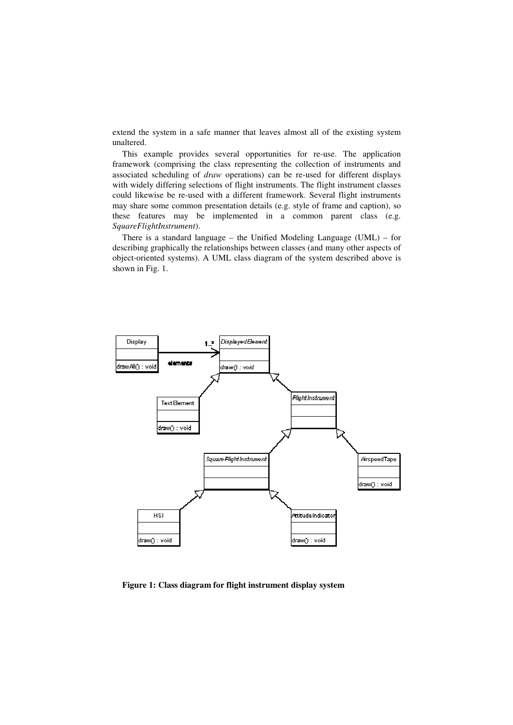extend the system in a safe manner that leaves almost all of the existing system unaltered.

This example provides several opportunities for re-use. The application framework (comprising the class representing the collection of instruments and associated scheduling of *draw* operations) can be re-used for different displays with widely differing selections of flight instruments. The flight instrument classes could likewise be re-used with a different framework. Several flight instruments may share some common presentation details (e.g. style of frame and caption), so these features may be implemented in a common parent class (e.g. *SquareFlightInstrument*).

There is a standard language – the Unified Modeling Language (UML) – for describing graphically the relationships between classes (and many other aspects of object-oriented systems). A UML class diagram of the system described above is shown in Fig. 1.



**Figure 1: Class diagram for flight instrument display system**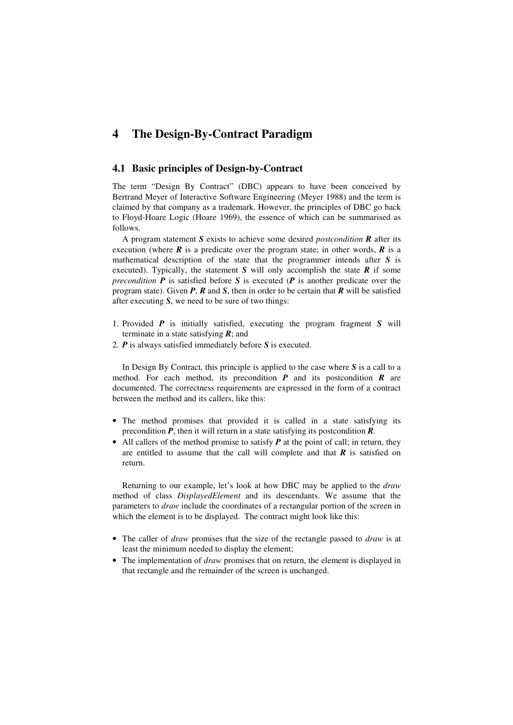## **4 The Design-By-Contract Paradigm**

#### **4.1 Basic principles of Design-by-Contract**

The term "Design By Contract" (DBC) appears to have been conceived by Bertrand Meyer of Interactive Software Engineering (Meyer 1988) and the term is claimed by that company as a trademark. However, the principles of DBC go back to Floyd-Hoare Logic (Hoare 1969), the essence of which can be summarised as follows.

A program statement *S* exists to achieve some desired *postcondition R* after its execution (where  $\vec{R}$  is a predicate over the program state; in other words,  $\vec{R}$  is a mathematical description of the state that the programmer intends after *S* is executed). Typically, the statement  $S$  will only accomplish the state  $R$  if some *precondition P* is satisfied before *S* is executed (*P* is another predicate over the program state). Given  $P$ ,  $R$  and  $S$ , then in order to be certain that  $R$  will be satisfied after executing *S*, we need to be sure of two things:

- 1. Provided *P* is initially satisfied, executing the program fragment *S* will terminate in a state satisfying *R*; and
- 2. *P* is always satisfied immediately before *S* is executed.

In Design By Contract, this principle is applied to the case where *S* is a call to a method. For each method, its precondition *P* and its postcondition *R* are documented. The correctness requirements are expressed in the form of a contract between the method and its callers, like this:

- The method promises that provided it is called in a state satisfying its precondition *P*, then it will return in a state satisfying its postcondition *R*.
- All callers of the method promise to satisfy  $P$  at the point of call; in return, they are entitled to assume that the call will complete and that  $R$  is satisfied on return.

Returning to our example, let's look at how DBC may be applied to the *draw* method of class *DisplayedElement* and its descendants. We assume that the parameters to *draw* include the coordinates of a rectangular portion of the screen in which the element is to be displayed. The contract might look like this:

- The caller of *draw* promises that the size of the rectangle passed to *draw* is at least the minimum needed to display the element;
- The implementation of *draw* promises that on return, the element is displayed in that rectangle and the remainder of the screen is unchanged.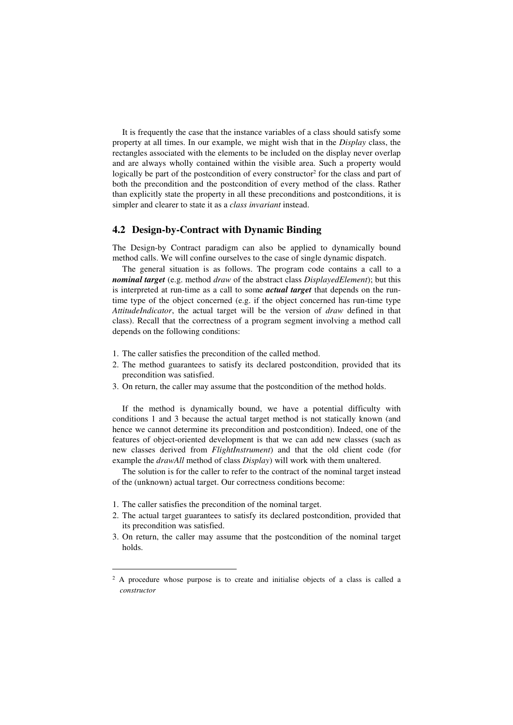It is frequently the case that the instance variables of a class should satisfy some property at all times. In our example, we might wish that in the *Display* class, the rectangles associated with the elements to be included on the display never overlap and are always wholly contained within the visible area. Such a property would logically be part of the postcondition of every constructor<sup>2</sup> for the class and part of both the precondition and the postcondition of every method of the class. Rather than explicitly state the property in all these preconditions and postconditions, it is simpler and clearer to state it as a *class invariant* instead.

#### **4.2 Design-by-Contract with Dynamic Binding**

The Design-by Contract paradigm can also be applied to dynamically bound method calls. We will confine ourselves to the case of single dynamic dispatch.

The general situation is as follows. The program code contains a call to a *nominal target* (e.g. method *draw* of the abstract class *DisplayedElement*); but this is interpreted at run-time as a call to some *actual target* that depends on the runtime type of the object concerned (e.g. if the object concerned has run-time type *AttitudeIndicator*, the actual target will be the version of *draw* defined in that class). Recall that the correctness of a program segment involving a method call depends on the following conditions:

- 1. The caller satisfies the precondition of the called method.
- 2. The method guarantees to satisfy its declared postcondition, provided that its precondition was satisfied.
- 3. On return, the caller may assume that the postcondition of the method holds.

If the method is dynamically bound, we have a potential difficulty with conditions 1 and 3 because the actual target method is not statically known (and hence we cannot determine its precondition and postcondition). Indeed, one of the features of object-oriented development is that we can add new classes (such as new classes derived from *FlightInstrument*) and that the old client code (for example the *drawAll* method of class *Display*) will work with them unaltered.

The solution is for the caller to refer to the contract of the nominal target instead of the (unknown) actual target. Our correctness conditions become:

- 1. The caller satisfies the precondition of the nominal target.
- 2. The actual target guarantees to satisfy its declared postcondition, provided that its precondition was satisfied.
- 3. On return, the caller may assume that the postcondition of the nominal target holds.

<sup>&</sup>lt;sup>2</sup> A procedure whose purpose is to create and initialise objects of a class is called a *constructor*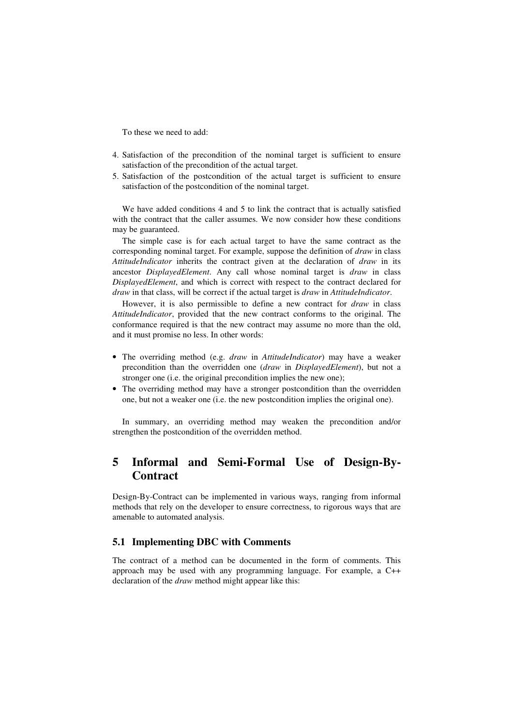To these we need to add:

- 4. Satisfaction of the precondition of the nominal target is sufficient to ensure satisfaction of the precondition of the actual target.
- 5. Satisfaction of the postcondition of the actual target is sufficient to ensure satisfaction of the postcondition of the nominal target.

We have added conditions 4 and 5 to link the contract that is actually satisfied with the contract that the caller assumes. We now consider how these conditions may be guaranteed.

The simple case is for each actual target to have the same contract as the corresponding nominal target. For example, suppose the definition of *draw* in class *AttitudeIndicator* inherits the contract given at the declaration of *draw* in its ancestor *DisplayedElement*. Any call whose nominal target is *draw* in class *DisplayedElement*, and which is correct with respect to the contract declared for *draw* in that class, will be correct if the actual target is *draw* in *AttitudeIndicator*.

However, it is also permissible to define a new contract for *draw* in class *AttitudeIndicator*, provided that the new contract conforms to the original. The conformance required is that the new contract may assume no more than the old, and it must promise no less. In other words:

- The overriding method (e.g. *draw* in *AttitudeIndicator*) may have a weaker precondition than the overridden one (*draw* in *DisplayedElement*), but not a stronger one (i.e. the original precondition implies the new one);
- The overriding method may have a stronger postcondition than the overridden one, but not a weaker one (i.e. the new postcondition implies the original one).

In summary, an overriding method may weaken the precondition and/or strengthen the postcondition of the overridden method.

## **5 Informal and Semi-Formal Use of Design-By-Contract**

Design-By-Contract can be implemented in various ways, ranging from informal methods that rely on the developer to ensure correctness, to rigorous ways that are amenable to automated analysis.

### **5.1 Implementing DBC with Comments**

The contract of a method can be documented in the form of comments. This approach may be used with any programming language. For example, a C++ declaration of the *draw* method might appear like this: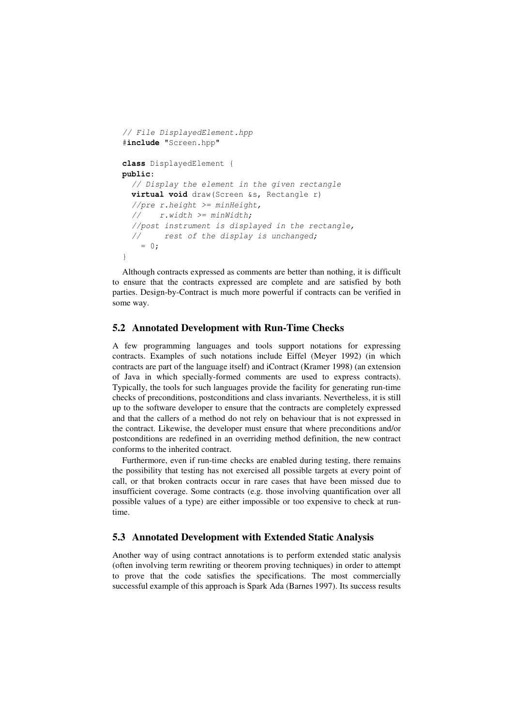```
// File DisplayedElement.hpp
#include "Screen.hpp"
class DisplayedElement {
public:
  // Display the element in the given rectangle
 virtual void draw(Screen &s, Rectangle r)
  //pre r.height >= minHeight,
  // r.width >= minWidth;
  //post instrument is displayed in the rectangle,
  // rest of the display is unchanged;
   = 0;}
```
Although contracts expressed as comments are better than nothing, it is difficult to ensure that the contracts expressed are complete and are satisfied by both parties. Design-by-Contract is much more powerful if contracts can be verified in some way.

#### **5.2 Annotated Development with Run-Time Checks**

A few programming languages and tools support notations for expressing contracts. Examples of such notations include Eiffel (Meyer 1992) (in which contracts are part of the language itself) and iContract (Kramer 1998) (an extension of Java in which specially-formed comments are used to express contracts). Typically, the tools for such languages provide the facility for generating run-time checks of preconditions, postconditions and class invariants. Nevertheless, it is still up to the software developer to ensure that the contracts are completely expressed and that the callers of a method do not rely on behaviour that is not expressed in the contract. Likewise, the developer must ensure that where preconditions and/or postconditions are redefined in an overriding method definition, the new contract conforms to the inherited contract.

Furthermore, even if run-time checks are enabled during testing, there remains the possibility that testing has not exercised all possible targets at every point of call, or that broken contracts occur in rare cases that have been missed due to insufficient coverage. Some contracts (e.g. those involving quantification over all possible values of a type) are either impossible or too expensive to check at runtime.

### **5.3 Annotated Development with Extended Static Analysis**

Another way of using contract annotations is to perform extended static analysis (often involving term rewriting or theorem proving techniques) in order to attempt to prove that the code satisfies the specifications. The most commercially successful example of this approach is Spark Ada (Barnes 1997). Its success results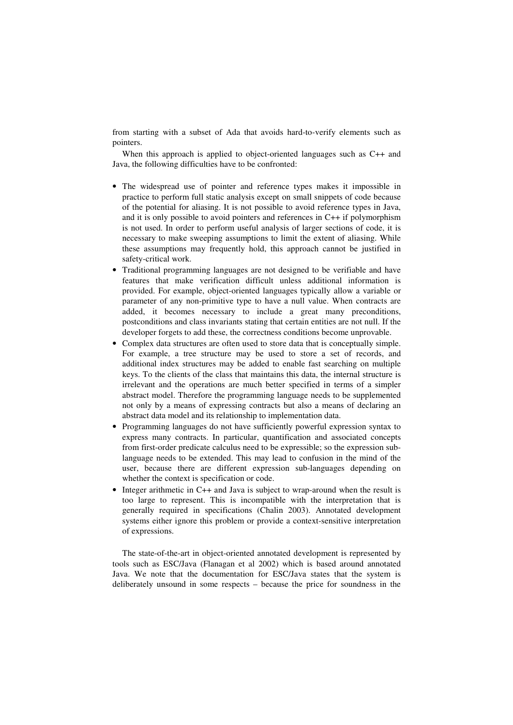from starting with a subset of Ada that avoids hard-to-verify elements such as pointers.

When this approach is applied to object-oriented languages such as C++ and Java, the following difficulties have to be confronted:

- The widespread use of pointer and reference types makes it impossible in practice to perform full static analysis except on small snippets of code because of the potential for aliasing. It is not possible to avoid reference types in Java, and it is only possible to avoid pointers and references in C++ if polymorphism is not used. In order to perform useful analysis of larger sections of code, it is necessary to make sweeping assumptions to limit the extent of aliasing. While these assumptions may frequently hold, this approach cannot be justified in safety-critical work.
- Traditional programming languages are not designed to be verifiable and have features that make verification difficult unless additional information is provided. For example, object-oriented languages typically allow a variable or parameter of any non-primitive type to have a null value. When contracts are added, it becomes necessary to include a great many preconditions, postconditions and class invariants stating that certain entities are not null. If the developer forgets to add these, the correctness conditions become unprovable.
- Complex data structures are often used to store data that is conceptually simple. For example, a tree structure may be used to store a set of records, and additional index structures may be added to enable fast searching on multiple keys. To the clients of the class that maintains this data, the internal structure is irrelevant and the operations are much better specified in terms of a simpler abstract model. Therefore the programming language needs to be supplemented not only by a means of expressing contracts but also a means of declaring an abstract data model and its relationship to implementation data.
- Programming languages do not have sufficiently powerful expression syntax to express many contracts. In particular, quantification and associated concepts from first-order predicate calculus need to be expressible; so the expression sublanguage needs to be extended. This may lead to confusion in the mind of the user, because there are different expression sub-languages depending on whether the context is specification or code.
- Integer arithmetic in C++ and Java is subject to wrap-around when the result is too large to represent. This is incompatible with the interpretation that is generally required in specifications (Chalin 2003). Annotated development systems either ignore this problem or provide a context-sensitive interpretation of expressions.

The state-of-the-art in object-oriented annotated development is represented by tools such as ESC/Java (Flanagan et al 2002) which is based around annotated Java. We note that the documentation for ESC/Java states that the system is deliberately unsound in some respects – because the price for soundness in the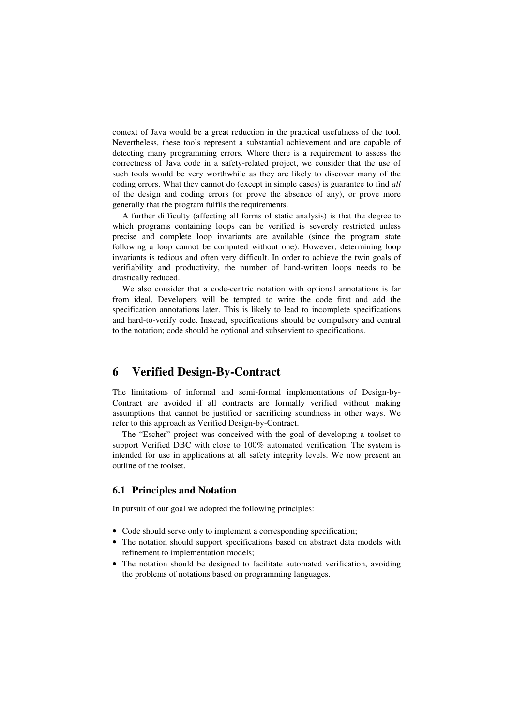context of Java would be a great reduction in the practical usefulness of the tool. Nevertheless, these tools represent a substantial achievement and are capable of detecting many programming errors. Where there is a requirement to assess the correctness of Java code in a safety-related project, we consider that the use of such tools would be very worthwhile as they are likely to discover many of the coding errors. What they cannot do (except in simple cases) is guarantee to find *all* of the design and coding errors (or prove the absence of any), or prove more generally that the program fulfils the requirements.

A further difficulty (affecting all forms of static analysis) is that the degree to which programs containing loops can be verified is severely restricted unless precise and complete loop invariants are available (since the program state following a loop cannot be computed without one). However, determining loop invariants is tedious and often very difficult. In order to achieve the twin goals of verifiability and productivity, the number of hand-written loops needs to be drastically reduced.

We also consider that a code-centric notation with optional annotations is far from ideal. Developers will be tempted to write the code first and add the specification annotations later. This is likely to lead to incomplete specifications and hard-to-verify code. Instead, specifications should be compulsory and central to the notation; code should be optional and subservient to specifications.

## **6 Verified Design-By-Contract**

The limitations of informal and semi-formal implementations of Design-by-Contract are avoided if all contracts are formally verified without making assumptions that cannot be justified or sacrificing soundness in other ways. We refer to this approach as Verified Design-by-Contract.

The "Escher" project was conceived with the goal of developing a toolset to support Verified DBC with close to 100% automated verification. The system is intended for use in applications at all safety integrity levels. We now present an outline of the toolset.

#### **6.1 Principles and Notation**

In pursuit of our goal we adopted the following principles:

- Code should serve only to implement a corresponding specification;
- The notation should support specifications based on abstract data models with refinement to implementation models;
- The notation should be designed to facilitate automated verification, avoiding the problems of notations based on programming languages.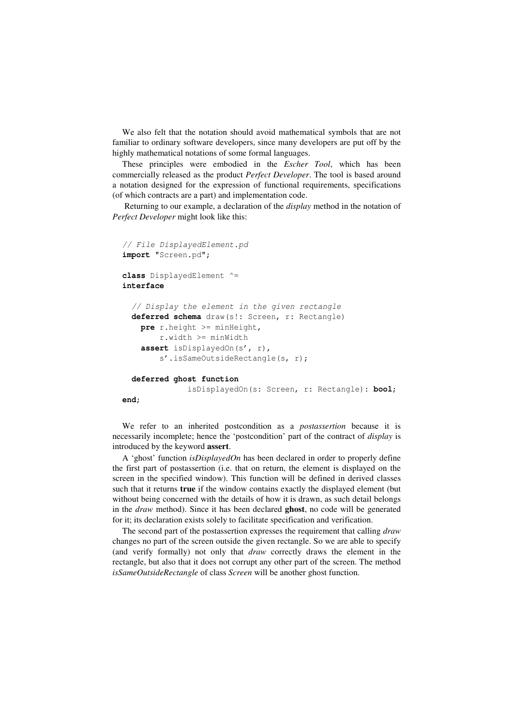We also felt that the notation should avoid mathematical symbols that are not familiar to ordinary software developers, since many developers are put off by the highly mathematical notations of some formal languages.

These principles were embodied in the *Escher Tool*, which has been commercially released as the product *Perfect Developer*. The tool is based around a notation designed for the expression of functional requirements, specifications (of which contracts are a part) and implementation code.

Returning to our example, a declaration of the *display* method in the notation of *Perfect Developer* might look like this:

```
// File DisplayedElement.pd
import "Screen.pd";
class DisplayedElement ^=
interface
  // Display the element in the given rectangle
  deferred schema draw(s!: Screen, r: Rectangle)
    pre r.height >= minHeight,
        r.width >= minWidth
    assert isDisplayedOn(s', r),
        s'.isSameOutsideRectangle(s, r);
  deferred ghost function
              isDisplayedOn(s: Screen, r: Rectangle): bool;
```
**end**;

We refer to an inherited postcondition as a *postassertion* because it is necessarily incomplete; hence the 'postcondition' part of the contract of *display* is introduced by the keyword **assert**.

A 'ghost' function *isDisplayedOn* has been declared in order to properly define the first part of postassertion (i.e. that on return, the element is displayed on the screen in the specified window). This function will be defined in derived classes such that it returns **true** if the window contains exactly the displayed element (but without being concerned with the details of how it is drawn, as such detail belongs in the *draw* method). Since it has been declared **ghost**, no code will be generated for it; its declaration exists solely to facilitate specification and verification.

The second part of the postassertion expresses the requirement that calling *draw* changes no part of the screen outside the given rectangle. So we are able to specify (and verify formally) not only that *draw* correctly draws the element in the rectangle, but also that it does not corrupt any other part of the screen. The method *isSameOutsideRectangle* of class *Screen* will be another ghost function.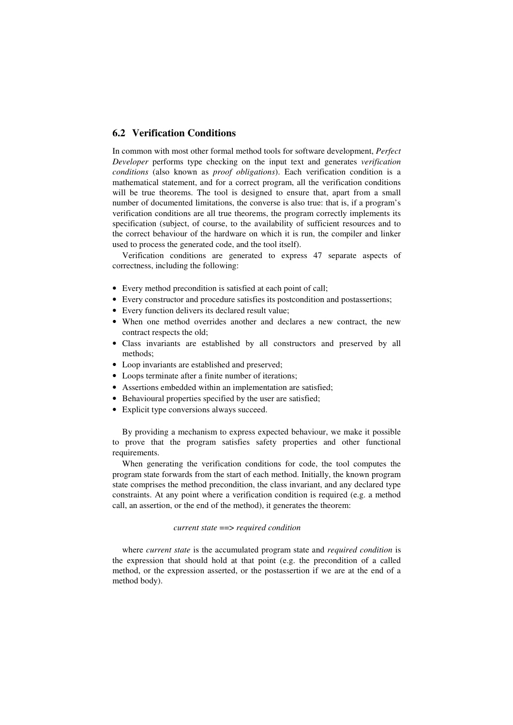#### **6.2 Verification Conditions**

In common with most other formal method tools for software development, *Perfect Developer* performs type checking on the input text and generates *verification conditions* (also known as *proof obligations*). Each verification condition is a mathematical statement, and for a correct program, all the verification conditions will be true theorems. The tool is designed to ensure that, apart from a small number of documented limitations, the converse is also true: that is, if a program's verification conditions are all true theorems, the program correctly implements its specification (subject, of course, to the availability of sufficient resources and to the correct behaviour of the hardware on which it is run, the compiler and linker used to process the generated code, and the tool itself).

Verification conditions are generated to express 47 separate aspects of correctness, including the following:

- Every method precondition is satisfied at each point of call;
- Every constructor and procedure satisfies its postcondition and postassertions;
- Every function delivers its declared result value;
- When one method overrides another and declares a new contract, the new contract respects the old;
- Class invariants are established by all constructors and preserved by all methods;
- Loop invariants are established and preserved;
- Loops terminate after a finite number of iterations;
- Assertions embedded within an implementation are satisfied;
- Behavioural properties specified by the user are satisfied;
- Explicit type conversions always succeed.

By providing a mechanism to express expected behaviour, we make it possible to prove that the program satisfies safety properties and other functional requirements.

When generating the verification conditions for code, the tool computes the program state forwards from the start of each method. Initially, the known program state comprises the method precondition, the class invariant, and any declared type constraints. At any point where a verification condition is required (e.g. a method call, an assertion, or the end of the method), it generates the theorem:

#### *current state* ==> *required condition*

where *current state* is the accumulated program state and *required condition* is the expression that should hold at that point (e.g. the precondition of a called method, or the expression asserted, or the postassertion if we are at the end of a method body).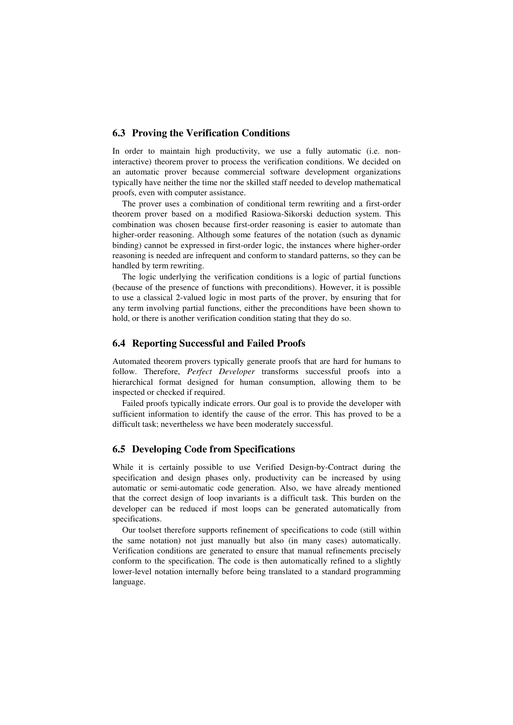#### **6.3 Proving the Verification Conditions**

In order to maintain high productivity, we use a fully automatic (i.e. noninteractive) theorem prover to process the verification conditions. We decided on an automatic prover because commercial software development organizations typically have neither the time nor the skilled staff needed to develop mathematical proofs, even with computer assistance.

The prover uses a combination of conditional term rewriting and a first-order theorem prover based on a modified Rasiowa-Sikorski deduction system. This combination was chosen because first-order reasoning is easier to automate than higher-order reasoning. Although some features of the notation (such as dynamic binding) cannot be expressed in first-order logic, the instances where higher-order reasoning is needed are infrequent and conform to standard patterns, so they can be handled by term rewriting.

The logic underlying the verification conditions is a logic of partial functions (because of the presence of functions with preconditions). However, it is possible to use a classical 2-valued logic in most parts of the prover, by ensuring that for any term involving partial functions, either the preconditions have been shown to hold, or there is another verification condition stating that they do so.

### **6.4 Reporting Successful and Failed Proofs**

Automated theorem provers typically generate proofs that are hard for humans to follow. Therefore, *Perfect Developer* transforms successful proofs into a hierarchical format designed for human consumption, allowing them to be inspected or checked if required.

Failed proofs typically indicate errors. Our goal is to provide the developer with sufficient information to identify the cause of the error. This has proved to be a difficult task; nevertheless we have been moderately successful.

#### **6.5 Developing Code from Specifications**

While it is certainly possible to use Verified Design-by-Contract during the specification and design phases only, productivity can be increased by using automatic or semi-automatic code generation. Also, we have already mentioned that the correct design of loop invariants is a difficult task. This burden on the developer can be reduced if most loops can be generated automatically from specifications.

Our toolset therefore supports refinement of specifications to code (still within the same notation) not just manually but also (in many cases) automatically. Verification conditions are generated to ensure that manual refinements precisely conform to the specification. The code is then automatically refined to a slightly lower-level notation internally before being translated to a standard programming language.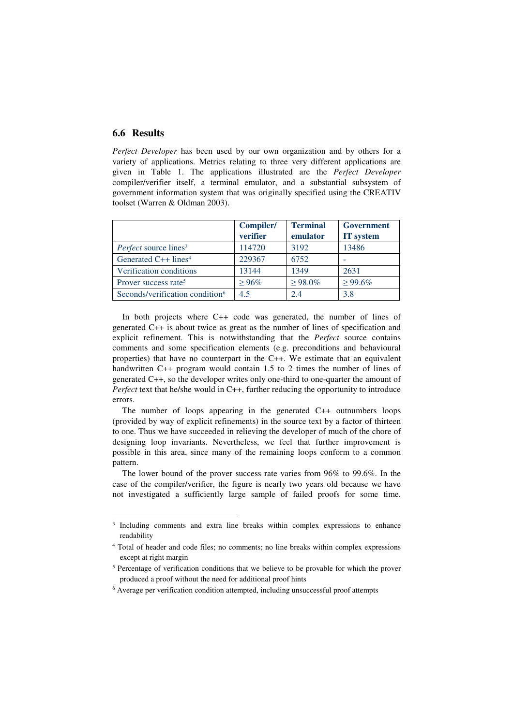### **6.6 Results**

*Perfect Developer* has been used by our own organization and by others for a variety of applications. Metrics relating to three very different applications are given in Table 1. The applications illustrated are the *Perfect Developer* compiler/verifier itself, a terminal emulator, and a substantial subsystem of government information system that was originally specified using the CREATIV toolset (Warren & Oldman 2003).

|                                             | Compiler/<br>verifier | <b>Terminal</b><br>emulator | <b>Government</b><br><b>IT</b> system |
|---------------------------------------------|-----------------------|-----------------------------|---------------------------------------|
| Perfect source lines <sup>3</sup>           | 114720                | 3192                        | 13486                                 |
| Generated C++ lines <sup>4</sup>            | 229367                | 6752                        |                                       |
| Verification conditions                     | 13144                 | 1349                        | 2631                                  |
| Prover success rate <sup>5</sup>            | $>96\%$               | $\geq 98.0\%$               | $\geq 99.6\%$                         |
| Seconds/verification condition <sup>6</sup> | 4.5                   | 2.4                         | 3.8                                   |

In both projects where C++ code was generated, the number of lines of generated C++ is about twice as great as the number of lines of specification and explicit refinement. This is notwithstanding that the *Perfect* source contains comments and some specification elements (e.g. preconditions and behavioural properties) that have no counterpart in the C++. We estimate that an equivalent handwritten C++ program would contain 1.5 to 2 times the number of lines of generated C++, so the developer writes only one-third to one-quarter the amount of *Perfect* text that he/she would in C++, further reducing the opportunity to introduce errors.

The number of loops appearing in the generated C++ outnumbers loops (provided by way of explicit refinements) in the source text by a factor of thirteen to one. Thus we have succeeded in relieving the developer of much of the chore of designing loop invariants. Nevertheless, we feel that further improvement is possible in this area, since many of the remaining loops conform to a common pattern.

The lower bound of the prover success rate varies from 96% to 99.6%. In the case of the compiler/verifier, the figure is nearly two years old because we have not investigated a sufficiently large sample of failed proofs for some time.

<sup>&</sup>lt;sup>3</sup> Including comments and extra line breaks within complex expressions to enhance readability

<sup>4</sup> Total of header and code files; no comments; no line breaks within complex expressions except at right margin

<sup>5</sup> Percentage of verification conditions that we believe to be provable for which the prover produced a proof without the need for additional proof hints

 $6$  Average per verification condition attempted, including unsuccessful proof attempts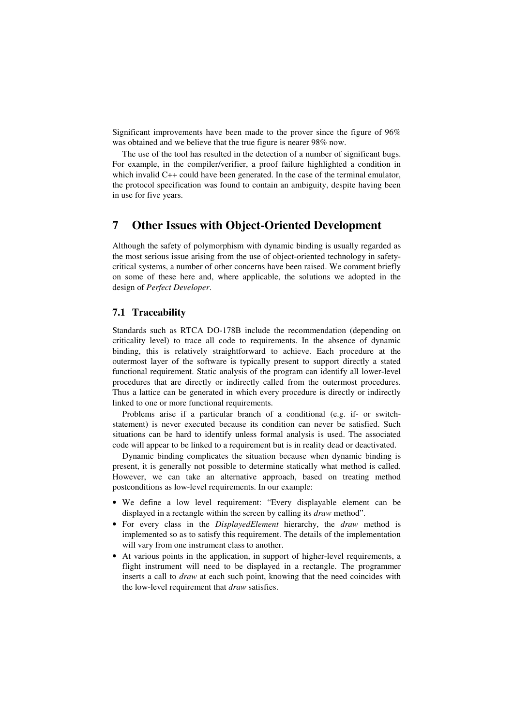Significant improvements have been made to the prover since the figure of 96% was obtained and we believe that the true figure is nearer 98% now.

The use of the tool has resulted in the detection of a number of significant bugs. For example, in the compiler/verifier, a proof failure highlighted a condition in which invalid C++ could have been generated. In the case of the terminal emulator, the protocol specification was found to contain an ambiguity, despite having been in use for five years.

## **7 Other Issues with Object-Oriented Development**

Although the safety of polymorphism with dynamic binding is usually regarded as the most serious issue arising from the use of object-oriented technology in safetycritical systems, a number of other concerns have been raised. We comment briefly on some of these here and, where applicable, the solutions we adopted in the design of *Perfect Developer*.

#### **7.1 Traceability**

Standards such as RTCA DO-178B include the recommendation (depending on criticality level) to trace all code to requirements. In the absence of dynamic binding, this is relatively straightforward to achieve. Each procedure at the outermost layer of the software is typically present to support directly a stated functional requirement. Static analysis of the program can identify all lower-level procedures that are directly or indirectly called from the outermost procedures. Thus a lattice can be generated in which every procedure is directly or indirectly linked to one or more functional requirements.

Problems arise if a particular branch of a conditional (e.g. if- or switchstatement) is never executed because its condition can never be satisfied. Such situations can be hard to identify unless formal analysis is used. The associated code will appear to be linked to a requirement but is in reality dead or deactivated.

Dynamic binding complicates the situation because when dynamic binding is present, it is generally not possible to determine statically what method is called. However, we can take an alternative approach, based on treating method postconditions as low-level requirements. In our example:

- We define a low level requirement: "Every displayable element can be displayed in a rectangle within the screen by calling its *draw* method".
- For every class in the *DisplayedElement* hierarchy, the *draw* method is implemented so as to satisfy this requirement. The details of the implementation will vary from one instrument class to another.
- At various points in the application, in support of higher-level requirements, a flight instrument will need to be displayed in a rectangle. The programmer inserts a call to *draw* at each such point, knowing that the need coincides with the low-level requirement that *draw* satisfies.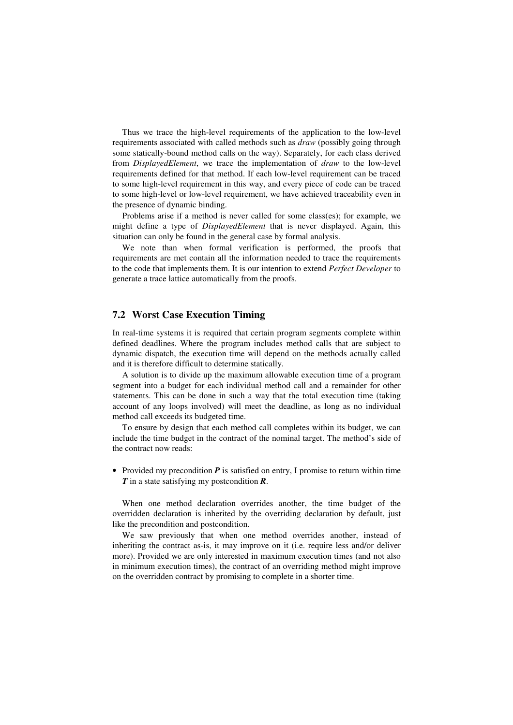Thus we trace the high-level requirements of the application to the low-level requirements associated with called methods such as *draw* (possibly going through some statically-bound method calls on the way). Separately, for each class derived from *DisplayedElement*, we trace the implementation of *draw* to the low-level requirements defined for that method. If each low-level requirement can be traced to some high-level requirement in this way, and every piece of code can be traced to some high-level or low-level requirement, we have achieved traceability even in the presence of dynamic binding.

Problems arise if a method is never called for some class(es); for example, we might define a type of *DisplayedElement* that is never displayed. Again, this situation can only be found in the general case by formal analysis.

We note than when formal verification is performed, the proofs that requirements are met contain all the information needed to trace the requirements to the code that implements them. It is our intention to extend *Perfect Developer* to generate a trace lattice automatically from the proofs.

#### **7.2 Worst Case Execution Timing**

In real-time systems it is required that certain program segments complete within defined deadlines. Where the program includes method calls that are subject to dynamic dispatch, the execution time will depend on the methods actually called and it is therefore difficult to determine statically.

A solution is to divide up the maximum allowable execution time of a program segment into a budget for each individual method call and a remainder for other statements. This can be done in such a way that the total execution time (taking account of any loops involved) will meet the deadline, as long as no individual method call exceeds its budgeted time.

To ensure by design that each method call completes within its budget, we can include the time budget in the contract of the nominal target. The method's side of the contract now reads:

• Provided my precondition **P** is satisfied on entry, I promise to return within time *T* in a state satisfying my postcondition *R*.

When one method declaration overrides another, the time budget of the overridden declaration is inherited by the overriding declaration by default, just like the precondition and postcondition.

We saw previously that when one method overrides another, instead of inheriting the contract as-is, it may improve on it (i.e. require less and/or deliver more). Provided we are only interested in maximum execution times (and not also in minimum execution times), the contract of an overriding method might improve on the overridden contract by promising to complete in a shorter time.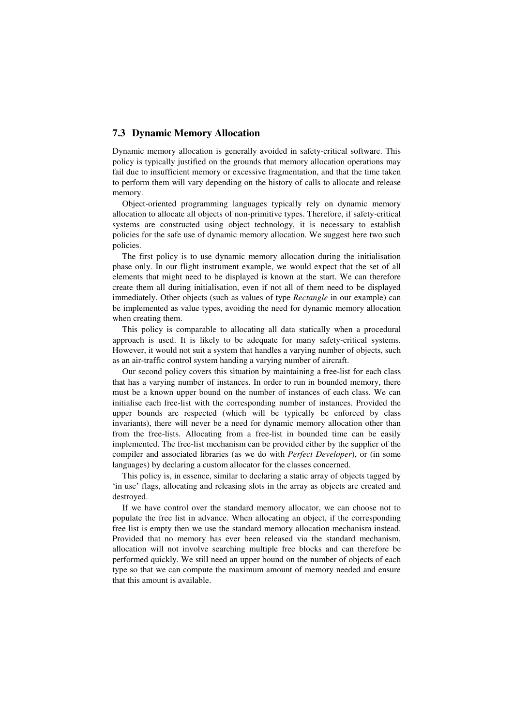#### **7.3 Dynamic Memory Allocation**

Dynamic memory allocation is generally avoided in safety-critical software. This policy is typically justified on the grounds that memory allocation operations may fail due to insufficient memory or excessive fragmentation, and that the time taken to perform them will vary depending on the history of calls to allocate and release memory.

Object-oriented programming languages typically rely on dynamic memory allocation to allocate all objects of non-primitive types. Therefore, if safety-critical systems are constructed using object technology, it is necessary to establish policies for the safe use of dynamic memory allocation. We suggest here two such policies.

The first policy is to use dynamic memory allocation during the initialisation phase only. In our flight instrument example, we would expect that the set of all elements that might need to be displayed is known at the start. We can therefore create them all during initialisation, even if not all of them need to be displayed immediately. Other objects (such as values of type *Rectangle* in our example) can be implemented as value types, avoiding the need for dynamic memory allocation when creating them.

This policy is comparable to allocating all data statically when a procedural approach is used. It is likely to be adequate for many safety-critical systems. However, it would not suit a system that handles a varying number of objects, such as an air-traffic control system handing a varying number of aircraft.

Our second policy covers this situation by maintaining a free-list for each class that has a varying number of instances. In order to run in bounded memory, there must be a known upper bound on the number of instances of each class. We can initialise each free-list with the corresponding number of instances. Provided the upper bounds are respected (which will be typically be enforced by class invariants), there will never be a need for dynamic memory allocation other than from the free-lists. Allocating from a free-list in bounded time can be easily implemented. The free-list mechanism can be provided either by the supplier of the compiler and associated libraries (as we do with *Perfect Developer*), or (in some languages) by declaring a custom allocator for the classes concerned.

This policy is, in essence, similar to declaring a static array of objects tagged by 'in use' flags, allocating and releasing slots in the array as objects are created and destroyed.

If we have control over the standard memory allocator, we can choose not to populate the free list in advance. When allocating an object, if the corresponding free list is empty then we use the standard memory allocation mechanism instead. Provided that no memory has ever been released via the standard mechanism, allocation will not involve searching multiple free blocks and can therefore be performed quickly. We still need an upper bound on the number of objects of each type so that we can compute the maximum amount of memory needed and ensure that this amount is available.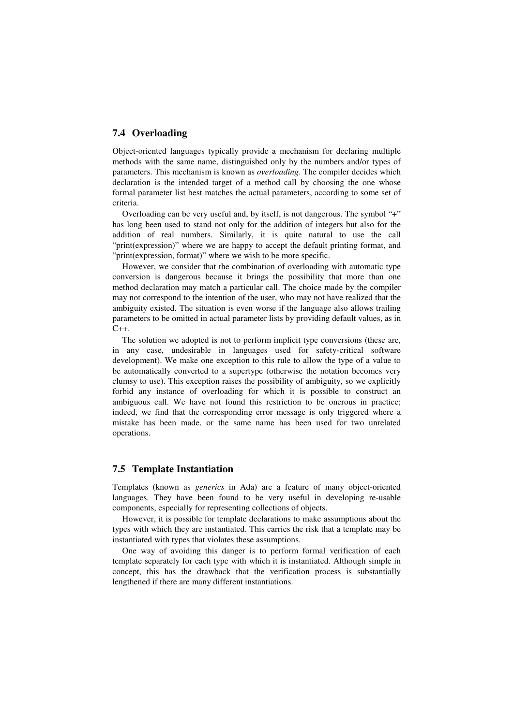#### **7.4 Overloading**

Object-oriented languages typically provide a mechanism for declaring multiple methods with the same name, distinguished only by the numbers and/or types of parameters. This mechanism is known as *overloading*. The compiler decides which declaration is the intended target of a method call by choosing the one whose formal parameter list best matches the actual parameters, according to some set of criteria.

Overloading can be very useful and, by itself, is not dangerous. The symbol "+" has long been used to stand not only for the addition of integers but also for the addition of real numbers. Similarly, it is quite natural to use the call "print(expression)" where we are happy to accept the default printing format, and "print(expression, format)" where we wish to be more specific.

However, we consider that the combination of overloading with automatic type conversion is dangerous because it brings the possibility that more than one method declaration may match a particular call. The choice made by the compiler may not correspond to the intention of the user, who may not have realized that the ambiguity existed. The situation is even worse if the language also allows trailing parameters to be omitted in actual parameter lists by providing default values, as in  $C_{++}$ .

The solution we adopted is not to perform implicit type conversions (these are, in any case, undesirable in languages used for safety-critical software development). We make one exception to this rule to allow the type of a value to be automatically converted to a supertype (otherwise the notation becomes very clumsy to use). This exception raises the possibility of ambiguity, so we explicitly forbid any instance of overloading for which it is possible to construct an ambiguous call. We have not found this restriction to be onerous in practice; indeed, we find that the corresponding error message is only triggered where a mistake has been made, or the same name has been used for two unrelated operations.

### **7.5 Template Instantiation**

Templates (known as *generics* in Ada) are a feature of many object-oriented languages. They have been found to be very useful in developing re-usable components, especially for representing collections of objects.

However, it is possible for template declarations to make assumptions about the types with which they are instantiated. This carries the risk that a template may be instantiated with types that violates these assumptions.

One way of avoiding this danger is to perform formal verification of each template separately for each type with which it is instantiated. Although simple in concept, this has the drawback that the verification process is substantially lengthened if there are many different instantiations.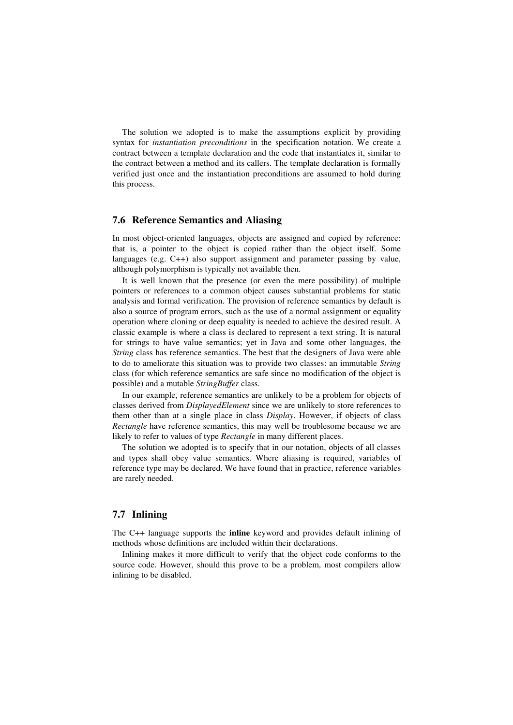The solution we adopted is to make the assumptions explicit by providing syntax for *instantiation preconditions* in the specification notation. We create a contract between a template declaration and the code that instantiates it, similar to the contract between a method and its callers. The template declaration is formally verified just once and the instantiation preconditions are assumed to hold during this process.

#### **7.6 Reference Semantics and Aliasing**

In most object-oriented languages, objects are assigned and copied by reference: that is, a pointer to the object is copied rather than the object itself. Some languages (e.g. C++) also support assignment and parameter passing by value, although polymorphism is typically not available then.

It is well known that the presence (or even the mere possibility) of multiple pointers or references to a common object causes substantial problems for static analysis and formal verification. The provision of reference semantics by default is also a source of program errors, such as the use of a normal assignment or equality operation where cloning or deep equality is needed to achieve the desired result. A classic example is where a class is declared to represent a text string. It is natural for strings to have value semantics; yet in Java and some other languages, the *String* class has reference semantics. The best that the designers of Java were able to do to ameliorate this situation was to provide two classes: an immutable *String* class (for which reference semantics are safe since no modification of the object is possible) and a mutable *StringBuffer* class.

In our example, reference semantics are unlikely to be a problem for objects of classes derived from *DisplayedElement* since we are unlikely to store references to them other than at a single place in class *Display*. However, if objects of class *Rectangle* have reference semantics, this may well be troublesome because we are likely to refer to values of type *Rectangle* in many different places.

The solution we adopted is to specify that in our notation, objects of all classes and types shall obey value semantics. Where aliasing is required, variables of reference type may be declared. We have found that in practice, reference variables are rarely needed.

#### **7.7 Inlining**

The C++ language supports the **inline** keyword and provides default inlining of methods whose definitions are included within their declarations.

Inlining makes it more difficult to verify that the object code conforms to the source code. However, should this prove to be a problem, most compilers allow inlining to be disabled.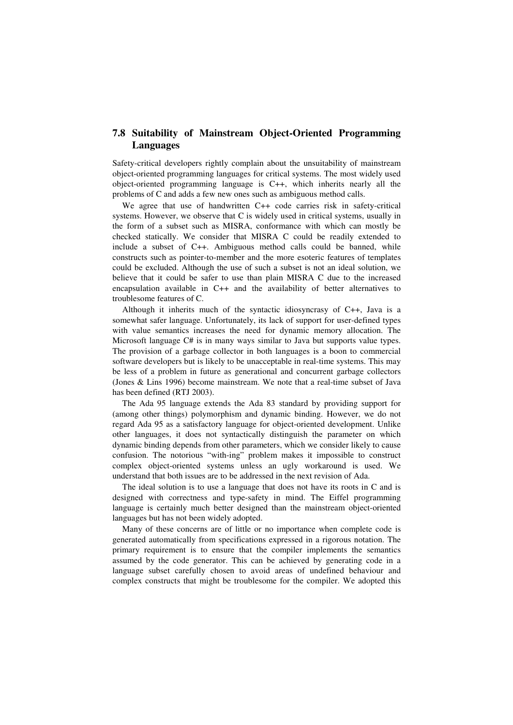### **7.8 Suitability of Mainstream Object-Oriented Programming Languages**

Safety-critical developers rightly complain about the unsuitability of mainstream object-oriented programming languages for critical systems. The most widely used object-oriented programming language is C++, which inherits nearly all the problems of C and adds a few new ones such as ambiguous method calls.

We agree that use of handwritten C++ code carries risk in safety-critical systems. However, we observe that C is widely used in critical systems, usually in the form of a subset such as MISRA, conformance with which can mostly be checked statically. We consider that MISRA C could be readily extended to include a subset of C++. Ambiguous method calls could be banned, while constructs such as pointer-to-member and the more esoteric features of templates could be excluded. Although the use of such a subset is not an ideal solution, we believe that it could be safer to use than plain MISRA C due to the increased encapsulation available in C++ and the availability of better alternatives to troublesome features of C.

Although it inherits much of the syntactic idiosyncrasy of C++, Java is a somewhat safer language. Unfortunately, its lack of support for user-defined types with value semantics increases the need for dynamic memory allocation. The Microsoft language C# is in many ways similar to Java but supports value types. The provision of a garbage collector in both languages is a boon to commercial software developers but is likely to be unacceptable in real-time systems. This may be less of a problem in future as generational and concurrent garbage collectors (Jones & Lins 1996) become mainstream. We note that a real-time subset of Java has been defined (RTJ 2003).

The Ada 95 language extends the Ada 83 standard by providing support for (among other things) polymorphism and dynamic binding. However, we do not regard Ada 95 as a satisfactory language for object-oriented development. Unlike other languages, it does not syntactically distinguish the parameter on which dynamic binding depends from other parameters, which we consider likely to cause confusion. The notorious "with-ing" problem makes it impossible to construct complex object-oriented systems unless an ugly workaround is used. We understand that both issues are to be addressed in the next revision of Ada.

The ideal solution is to use a language that does not have its roots in C and is designed with correctness and type-safety in mind. The Eiffel programming language is certainly much better designed than the mainstream object-oriented languages but has not been widely adopted.

Many of these concerns are of little or no importance when complete code is generated automatically from specifications expressed in a rigorous notation. The primary requirement is to ensure that the compiler implements the semantics assumed by the code generator. This can be achieved by generating code in a language subset carefully chosen to avoid areas of undefined behaviour and complex constructs that might be troublesome for the compiler. We adopted this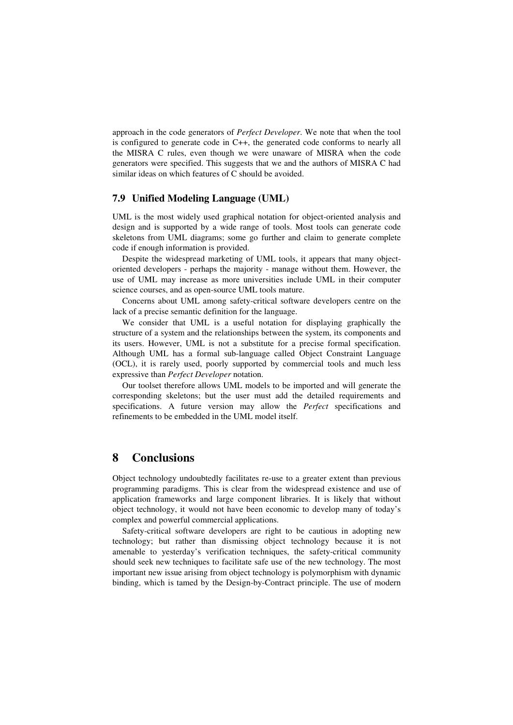approach in the code generators of *Perfect Developer*. We note that when the tool is configured to generate code in C++, the generated code conforms to nearly all the MISRA C rules, even though we were unaware of MISRA when the code generators were specified. This suggests that we and the authors of MISRA C had similar ideas on which features of C should be avoided.

#### **7.9 Unified Modeling Language (UML)**

UML is the most widely used graphical notation for object-oriented analysis and design and is supported by a wide range of tools. Most tools can generate code skeletons from UML diagrams; some go further and claim to generate complete code if enough information is provided.

Despite the widespread marketing of UML tools, it appears that many objectoriented developers - perhaps the majority - manage without them. However, the use of UML may increase as more universities include UML in their computer science courses, and as open-source UML tools mature.

Concerns about UML among safety-critical software developers centre on the lack of a precise semantic definition for the language.

We consider that UML is a useful notation for displaying graphically the structure of a system and the relationships between the system, its components and its users. However, UML is not a substitute for a precise formal specification. Although UML has a formal sub-language called Object Constraint Language (OCL), it is rarely used, poorly supported by commercial tools and much less expressive than *Perfect Developer* notation.

Our toolset therefore allows UML models to be imported and will generate the corresponding skeletons; but the user must add the detailed requirements and specifications. A future version may allow the *Perfect* specifications and refinements to be embedded in the UML model itself.

## **8 Conclusions**

Object technology undoubtedly facilitates re-use to a greater extent than previous programming paradigms. This is clear from the widespread existence and use of application frameworks and large component libraries. It is likely that without object technology, it would not have been economic to develop many of today's complex and powerful commercial applications.

Safety-critical software developers are right to be cautious in adopting new technology; but rather than dismissing object technology because it is not amenable to yesterday's verification techniques, the safety-critical community should seek new techniques to facilitate safe use of the new technology. The most important new issue arising from object technology is polymorphism with dynamic binding, which is tamed by the Design-by-Contract principle. The use of modern